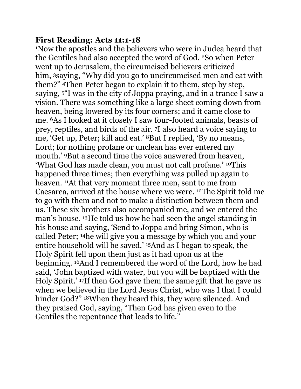## **First Reading: Acts 11:1-18**

<sup>1</sup>Now the apostles and the believers who were in Judea heard that the Gentiles had also accepted the word of God. <sup>2</sup>So when Peter went up to Jerusalem, the circumcised believers criticized him, 3saying, "Why did you go to uncircumcised men and eat with them?" <sup>4</sup>Then Peter began to explain it to them, step by step, saying, <sup>5</sup>"I was in the city of Joppa praying, and in a trance I saw a vision. There was something like a large sheet coming down from heaven, being lowered by its four corners; and it came close to me. <sup>6</sup>As I looked at it closely I saw four-footed animals, beasts of prey, reptiles, and birds of the air. <sup>7</sup>I also heard a voice saying to me, 'Get up, Peter; kill and eat.' <sup>8</sup>But I replied, 'By no means, Lord; for nothing profane or unclean has ever entered my mouth.' <sup>9</sup>But a second time the voice answered from heaven, 'What God has made clean, you must not call profane.' <sup>10</sup>This happened three times; then everything was pulled up again to heaven. <sup>11</sup>At that very moment three men, sent to me from Caesarea, arrived at the house where we were. <sup>12</sup>The Spirit told me to go with them and not to make a distinction between them and us. These six brothers also accompanied me, and we entered the man's house. <sup>13</sup>He told us how he had seen the angel standing in his house and saying, 'Send to Joppa and bring Simon, who is called Peter; <sup>14</sup>he will give you a message by which you and your entire household will be saved.' <sup>15</sup>And as I began to speak, the Holy Spirit fell upon them just as it had upon us at the beginning. <sup>16</sup>And I remembered the word of the Lord, how he had said, 'John baptized with water, but you will be baptized with the Holy Spirit.' <sup>17</sup>If then God gave them the same gift that he gave us when we believed in the Lord Jesus Christ, who was I that I could hinder God?" <sup>18</sup>When they heard this, they were silenced. And they praised God, saying, "Then God has given even to the Gentiles the repentance that leads to life."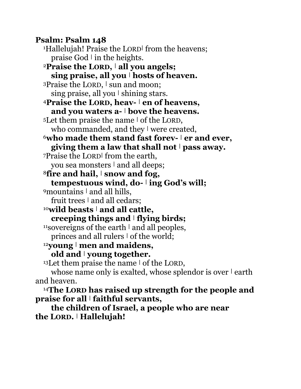**Psalm: Psalm 148** <sup>1</sup>Hallelujah! Praise the LORD**<sup>|</sup>** from the heavens; praise God **<sup>|</sup>** in the heights. <sup>2</sup>**Praise the LORD, <sup>|</sup> all you angels; sing praise, all you <sup>|</sup> hosts of heaven.** 3Praise the LORD, I sun and moon; sing praise, all you **<sup>|</sup>** shining stars. <sup>4</sup>**Praise the LORD, heav- <sup>|</sup> en of heavens, and you waters a- <sup>|</sup> bove the heavens.** <sup>5</sup>Let them praise the name **<sup>|</sup>** of the LORD, who commanded, and they **<sup>|</sup>** were created, <sup>6</sup>**who made them stand fast forev- <sup>|</sup> er and ever, giving them a law that shall not <sup>|</sup> pass away.** <sup>7</sup>Praise the LORD**<sup>|</sup>** from the earth, you sea monsters **<sup>|</sup>** and all deeps; <sup>8</sup>**fire and hail, <sup>|</sup> snow and fog, tempestuous wind, do- <sup>|</sup> ing God's will;** <sup>9</sup>mountains **<sup>|</sup>** and all hills, fruit trees **<sup>|</sup>** and all cedars; <sup>10</sup>**wild beasts <sup>|</sup> and all cattle, creeping things and <sup>|</sup> flying birds;** <sup>11</sup>sovereigns of the earth **<sup>|</sup>** and all peoples, princes and all rulers **<sup>|</sup>** of the world; <sup>12</sup>**young <sup>|</sup> men and maidens, old and <sup>|</sup> young together.** <sup>13</sup>Let them praise the name **<sup>|</sup>** of the LORD, whose name only is exalted, whose splendor is over **<sup>|</sup>** earth and heaven.

<sup>14</sup>**The LORD has raised up strength for the people and praise for all <sup>|</sup> faithful servants,**

**the children of Israel, a people who are near the LORD. <sup>|</sup> Hallelujah!**